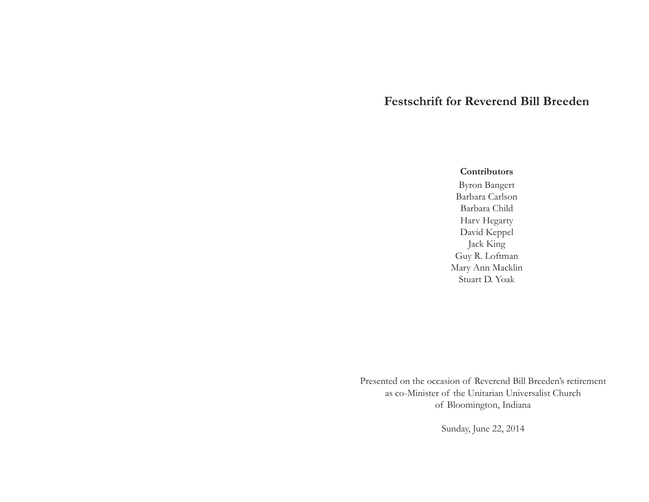# **Festschrift for Reverend Bill Breeden**

### **Contributors**

Byron Bangert Barbara Carlson Barbara Child Harv Hegarty David Keppel Jack King Guy R. Loftman Mary Ann Macklin Stuart D. Yoak

Presented on the occasion of Reverend Bill Breeden's retirement as co-Minister of the Unitarian Universalist Church of Bloomington, Indiana

Sunday, June 22, 2014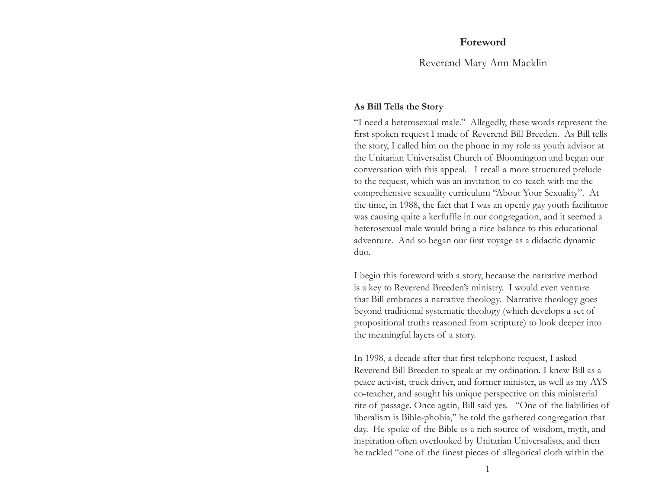Reverend Mary Ann Macklin

### **As Bill Tells the Story**

"I need a heterosexual male." Allegedly, these words represent the first spoken request I made of Reverend Bill Breeden. As Bill tells the story, I called him on the phone in my role as youth advisor at the Unitarian Universalist Church of Bloomington and began our conversation with this appeal. I recall a more structured prelude to the request, which was an invitation to co-teach with me the comprehensive sexuality curriculum "About Your Sexuality". At the time, in 1988, the fact that I was an openly gay youth facilitator was causing quite a kerfuffle in our congregation, and it seemed a heterosexual male would bring a nice balance to this educational adventure. And so began our first voyage as a didactic dynamic duo.

I begin this foreword with a story, because the narrative method is a key to Reverend Breeden's ministry. I would even venture that Bill embraces a narrative theology. Narrative theology goes beyond traditional systematic theology (which develops a set of propositional truths reasoned from scripture) to look deeper into the meaningful layers of a story.

In 1998, a decade after that first telephone request, I asked Reverend Bill Breeden to speak at my ordination. I knew Bill as a peace activist, truck driver, and former minister, as well as my AYS co-teacher, and sought his unique perspective on this ministerial rite of passage. Once again, Bill said yes. "One of the liabilities of liberalism is Bible-phobia," he told the gathered congregation that day. He spoke of the Bible as a rich source of wisdom, myth, and inspiration often overlooked by Unitarian Universalists, and then he tackled "one of the finest pieces of allegorical cloth within the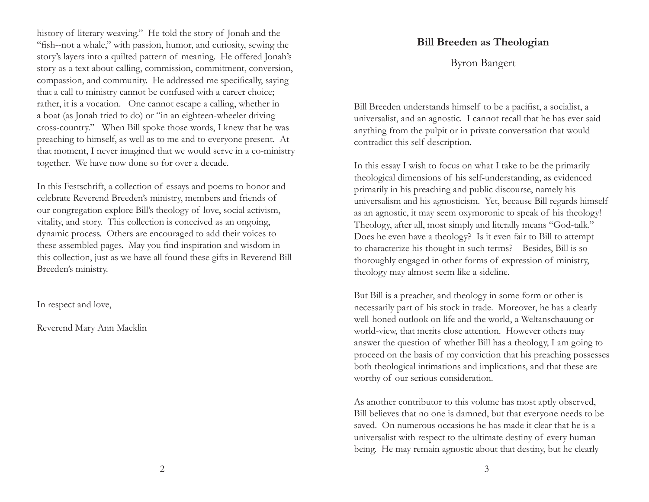history of literary weaving." He told the story of Jonah and the "fish--not a whale," with passion, humor, and curiosity, sewing the story's layers into a quilted pattern of meaning. He offered Jonah's story as a text about calling, commission, commitment, conversion, compassion, and community. He addressed me specifically, saying that a call to ministry cannot be confused with a career choice; rather, it is a vocation. One cannot escape a calling, whether in a boat (as Jonah tried to do) or "in an eighteen-wheeler driving cross-country." When Bill spoke those words, I knew that he was preaching to himself, as well as to me and to everyone present. At that moment, I never imagined that we would serve in a co-ministry together. We have now done so for over a decade.

In this Festschrift, a collection of essays and poems to honor and celebrate Reverend Breeden's ministry, members and friends of our congregation explore Bill's theology of love, social activism, vitality, and story. This collection is conceived as an ongoing, dynamic process. Others are encouraged to add their voices to these assembled pages. May you find inspiration and wisdom in this collection, just as we have all found these gifts in Reverend Bill Breeden's ministry.

In respect and love,

Reverend Mary Ann Macklin

## **Bill Breeden as Theologian**

Byron Bangert

Bill Breeden understands himself to be a pacifist, a socialist, a universalist, and an agnostic. I cannot recall that he has ever said anything from the pulpit or in private conversation that would contradict this self-description.

In this essay I wish to focus on what I take to be the primarily theological dimensions of his self-understanding, as evidenced primarily in his preaching and public discourse, namely his universalism and his agnosticism. Yet, because Bill regards himself as an agnostic, it may seem oxymoronic to speak of his theology! Theology, after all, most simply and literally means "God-talk." Does he even have a theology? Is it even fair to Bill to attempt to characterize his thought in such terms? Besides, Bill is so thoroughly engaged in other forms of expression of ministry, theology may almost seem like a sideline.

But Bill is a preacher, and theology in some form or other is necessarily part of his stock in trade. Moreover, he has a clearly well-honed outlook on life and the world, a Weltanschauung or world-view, that merits close attention. However others may answer the question of whether Bill has a theology, I am going to proceed on the basis of my conviction that his preaching possesses both theological intimations and implications, and that these are worthy of our serious consideration.

As another contributor to this volume has most aptly observed, Bill believes that no one is damned, but that everyone needs to be saved. On numerous occasions he has made it clear that he is a universalist with respect to the ultimate destiny of every human being. He may remain agnostic about that destiny, but he clearly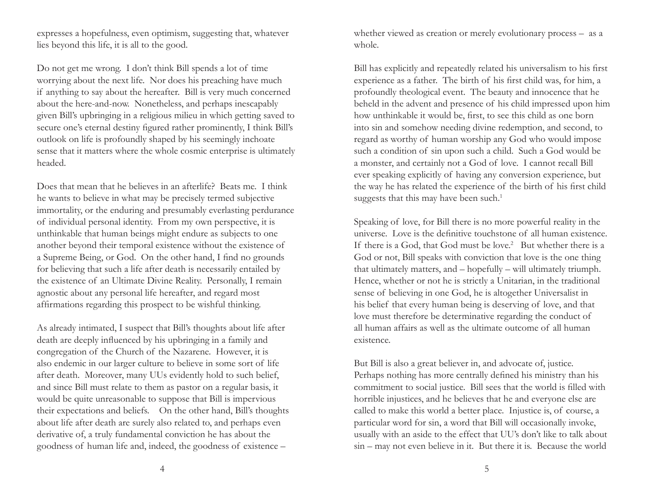expresses a hopefulness, even optimism, suggesting that, whatever lies beyond this life, it is all to the good.

Do not get me wrong. I don't think Bill spends a lot of time worrying about the next life. Nor does his preaching have much if anything to say about the hereafter. Bill is very much concerned about the here-and-now. Nonetheless, and perhaps inescapably given Bill's upbringing in a religious milieu in which getting saved to secure one's eternal destiny figured rather prominently, I think Bill's outlook on life is profoundly shaped by his seemingly inchoate sense that it matters where the whole cosmic enterprise is ultimately headed.

Does that mean that he believes in an afterlife? Beats me. I think he wants to believe in what may be precisely termed subjective immortality, or the enduring and presumably everlasting perdurance of individual personal identity. From my own perspective, it is unthinkable that human beings might endure as subjects to one another beyond their temporal existence without the existence of a Supreme Being, or God. On the other hand, I find no grounds for believing that such a life after death is necessarily entailed by the existence of an Ultimate Divine Reality. Personally, I remain agnostic about any personal life hereafter, and regard most affirmations regarding this prospect to be wishful thinking.

As already intimated, I suspect that Bill's thoughts about life after death are deeply influenced by his upbringing in a family and congregation of the Church of the Nazarene. However, it is also endemic in our larger culture to believe in some sort of life after death. Moreover, many UUs evidently hold to such belief, and since Bill must relate to them as pastor on a regular basis, it would be quite unreasonable to suppose that Bill is impervious their expectations and beliefs. On the other hand, Bill's thoughts about life after death are surely also related to, and perhaps even derivative of, a truly fundamental conviction he has about the goodness of human life and, indeed, the goodness of existence –

whether viewed as creation or merely evolutionary process – as a whole.

Bill has explicitly and repeatedly related his universalism to his first experience as a father. The birth of his first child was, for him, a profoundly theological event. The beauty and innocence that he beheld in the advent and presence of his child impressed upon him how unthinkable it would be, first, to see this child as one born into sin and somehow needing divine redemption, and second, to regard as worthy of human worship any God who would impose such a condition of sin upon such a child. Such a God would be a monster, and certainly not a God of love. I cannot recall Bill ever speaking explicitly of having any conversion experience, but the way he has related the experience of the birth of his first child suggests that this may have been such.<sup>1</sup>

Speaking of love, for Bill there is no more powerful reality in the universe. Love is the definitive touchstone of all human existence. If there is a God, that God must be love.<sup>2</sup> But whether there is a God or not, Bill speaks with conviction that love is the one thing that ultimately matters, and – hopefully – will ultimately triumph. Hence, whether or not he is strictly a Unitarian, in the traditional sense of believing in one God, he is altogether Universalist in his belief that every human being is deserving of love, and that love must therefore be determinative regarding the conduct of all human affairs as well as the ultimate outcome of all human existence.

But Bill is also a great believer in, and advocate of, justice. Perhaps nothing has more centrally defined his ministry than his commitment to social justice. Bill sees that the world is filled with horrible injustices, and he believes that he and everyone else are called to make this world a better place. Injustice is, of course, a particular word for sin, a word that Bill will occasionally invoke, usually with an aside to the effect that UU's don't like to talk about sin – may not even believe in it. But there it is. Because the world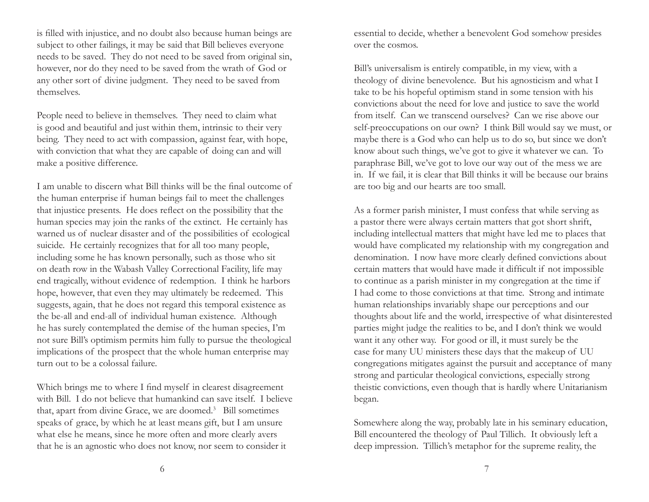is filled with injustice, and no doubt also because human beings are subject to other failings, it may be said that Bill believes everyone needs to be saved. They do not need to be saved from original sin, however, nor do they need to be saved from the wrath of God or any other sort of divine judgment. They need to be saved from themselves.

People need to believe in themselves. They need to claim what is good and beautiful and just within them, intrinsic to their very being. They need to act with compassion, against fear, with hope, with conviction that what they are capable of doing can and will make a positive difference.

I am unable to discern what Bill thinks will be the final outcome of the human enterprise if human beings fail to meet the challenges that injustice presents. He does reflect on the possibility that the human species may join the ranks of the extinct. He certainly has warned us of nuclear disaster and of the possibilities of ecological suicide. He certainly recognizes that for all too many people, including some he has known personally, such as those who sit on death row in the Wabash Valley Correctional Facility, life may end tragically, without evidence of redemption. I think he harbors hope, however, that even they may ultimately be redeemed. This suggests, again, that he does not regard this temporal existence as the be-all and end-all of individual human existence. Although he has surely contemplated the demise of the human species, I'm not sure Bill's optimism permits him fully to pursue the theological implications of the prospect that the whole human enterprise may turn out to be a colossal failure.

Which brings me to where I find myself in clearest disagreement with Bill. I do not believe that humankind can save itself. I believe that, apart from divine Grace, we are doomed.<sup>3</sup> Bill sometimes speaks of grace, by which he at least means gift, but I am unsure what else he means, since he more often and more clearly avers that he is an agnostic who does not know, nor seem to consider it

essential to decide, whether a benevolent God somehow presides over the cosmos.

Bill's universalism is entirely compatible, in my view, with a theology of divine benevolence. But his agnosticism and what I take to be his hopeful optimism stand in some tension with his convictions about the need for love and justice to save the world from itself. Can we transcend ourselves? Can we rise above our self-preoccupations on our own? I think Bill would say we must, or maybe there is a God who can help us to do so, but since we don't know about such things, we've got to give it whatever we can. To paraphrase Bill, we've got to love our way out of the mess we are in. If we fail, it is clear that Bill thinks it will be because our brains are too big and our hearts are too small.

As a former parish minister, I must confess that while serving as a pastor there were always certain matters that got short shrift, including intellectual matters that might have led me to places that would have complicated my relationship with my congregation and denomination. I now have more clearly defined convictions about certain matters that would have made it difficult if not impossible to continue as a parish minister in my congregation at the time if I had come to those convictions at that time. Strong and intimate human relationships invariably shape our perceptions and our thoughts about life and the world, irrespective of what disinterested parties might judge the realities to be, and I don't think we would want it any other way. For good or ill, it must surely be the case for many UU ministers these days that the makeup of UU congregations mitigates against the pursuit and acceptance of many strong and particular theological convictions, especially strong theistic convictions, even though that is hardly where Unitarianism began.

Somewhere along the way, probably late in his seminary education, Bill encountered the theology of Paul Tillich. It obviously left a deep impression. Tillich's metaphor for the supreme reality, the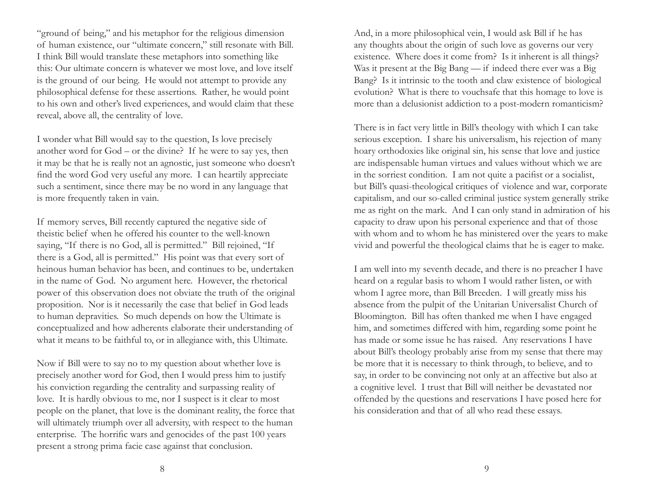"ground of being," and his metaphor for the religious dimension of human existence, our "ultimate concern," still resonate with Bill. I think Bill would translate these metaphors into something like this: Our ultimate concern is whatever we most love, and love itself is the ground of our being. He would not attempt to provide any philosophical defense for these assertions. Rather, he would point to his own and other's lived experiences, and would claim that these reveal, above all, the centrality of love.

I wonder what Bill would say to the question, Is love precisely another word for God – or the divine? If he were to say yes, then it may be that he is really not an agnostic, just someone who doesn't find the word God very useful any more. I can heartily appreciate such a sentiment, since there may be no word in any language that is more frequently taken in vain.

If memory serves, Bill recently captured the negative side of theistic belief when he offered his counter to the well-known saying, "If there is no God, all is permitted." Bill rejoined, "If there is a God, all is permitted." His point was that every sort of heinous human behavior has been, and continues to be, undertaken in the name of God. No argument here. However, the rhetorical power of this observation does not obviate the truth of the original proposition. Nor is it necessarily the case that belief in God leads to human depravities. So much depends on how the Ultimate is conceptualized and how adherents elaborate their understanding of what it means to be faithful to, or in allegiance with, this Ultimate.

Now if Bill were to say no to my question about whether love is precisely another word for God, then I would press him to justify his conviction regarding the centrality and surpassing reality of love. It is hardly obvious to me, nor I suspect is it clear to most people on the planet, that love is the dominant reality, the force that will ultimately triumph over all adversity, with respect to the human enterprise. The horrific wars and genocides of the past 100 years present a strong prima facie case against that conclusion.

And, in a more philosophical vein, I would ask Bill if he has any thoughts about the origin of such love as governs our very existence. Where does it come from? Is it inherent is all things? Was it present at the Big Bang — if indeed there ever was a Big Bang? Is it intrinsic to the tooth and claw existence of biological evolution? What is there to vouchsafe that this homage to love is more than a delusionist addiction to a post-modern romanticism?

There is in fact very little in Bill's theology with which I can take serious exception. I share his universalism, his rejection of many hoary orthodoxies like original sin, his sense that love and justice are indispensable human virtues and values without which we are in the sorriest condition. I am not quite a pacifist or a socialist, but Bill's quasi-theological critiques of violence and war, corporate capitalism, and our so-called criminal justice system generally strike me as right on the mark. And I can only stand in admiration of his capacity to draw upon his personal experience and that of those with whom and to whom he has ministered over the years to make vivid and powerful the theological claims that he is eager to make.

I am well into my seventh decade, and there is no preacher I have heard on a regular basis to whom I would rather listen, or with whom I agree more, than Bill Breeden. I will greatly miss his absence from the pulpit of the Unitarian Universalist Church of Bloomington. Bill has often thanked me when I have engaged him, and sometimes differed with him, regarding some point he has made or some issue he has raised. Any reservations I have about Bill's theology probably arise from my sense that there may be more that it is necessary to think through, to believe, and to say, in order to be convincing not only at an affective but also at a cognitive level. I trust that Bill will neither be devastated nor offended by the questions and reservations I have posed here for his consideration and that of all who read these essays.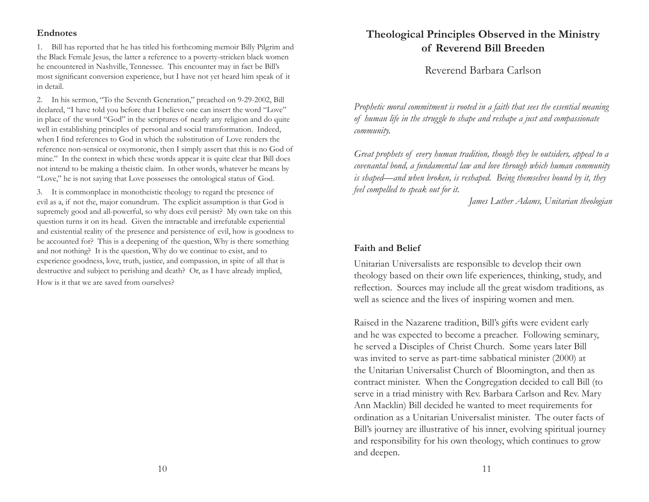### **Endnotes**

1. Bill has reported that he has titled his forthcoming memoir Billy Pilgrim and the Black Female Jesus, the latter a reference to a poverty-stricken black women he encountered in Nashville, Tennessee. This encounter may in fact be Bill's most significant conversion experience, but I have not yet heard him speak of it in detail.

2. In his sermon, "To the Seventh Generation," preached on 9-29-2002, Bill declared, "I have told you before that I believe one can insert the word "Love" in place of the word "God" in the scriptures of nearly any religion and do quite well in establishing principles of personal and social transformation. Indeed, when I find references to God in which the substitution of Love renders the reference non-sensical or oxymoronic, then I simply assert that this is no God of mine." In the context in which these words appear it is quite clear that Bill does not intend to be making a theistic claim. In other words, whatever he means by "Love," he is not saying that Love possesses the ontological status of God.

3. It is commonplace in monotheistic theology to regard the presence of evil as a, if not the, major conundrum. The explicit assumption is that God is supremely good and all-powerful, so why does evil persist? My own take on this question turns it on its head. Given the intractable and irrefutable experiential and existential reality of the presence and persistence of evil, how is goodness to be accounted for? This is a deepening of the question, Why is there something and not nothing? It is the question, Why do we continue to exist, and to experience goodness, love, truth, justice, and compassion, in spite of all that is destructive and subject to perishing and death? Or, as I have already implied, How is it that we are saved from ourselves?

**Theological Principles Observed in the Ministry of Reverend Bill Breeden**

Reverend Barbara Carlson

*Prophetic moral commitment is rooted in a faith that sees the essential meaning of human life in the struggle to shape and reshape a just and compassionate community.*

*Great prophets of every human tradition, though they be outsiders, appeal to a covenantal bond, a fundamental law and love through which human community is shaped—and when broken, is reshaped. Being themselves bound by it, they feel compelled to speak out for it.*

*James Luther Adams, Unitarian theologian*

### **Faith and Belief**

Unitarian Universalists are responsible to develop their own theology based on their own life experiences, thinking, study, and reflection. Sources may include all the great wisdom traditions, as well as science and the lives of inspiring women and men.

Raised in the Nazarene tradition, Bill's gifts were evident early and he was expected to become a preacher. Following seminary, he served a Disciples of Christ Church. Some years later Bill was invited to serve as part-time sabbatical minister (2000) at the Unitarian Universalist Church of Bloomington, and then as contract minister. When the Congregation decided to call Bill (to serve in a triad ministry with Rev. Barbara Carlson and Rev. Mary Ann Macklin) Bill decided he wanted to meet requirements for ordination as a Unitarian Universalist minister. The outer facts of Bill's journey are illustrative of his inner, evolving spiritual journey and responsibility for his own theology, which continues to grow and deepen.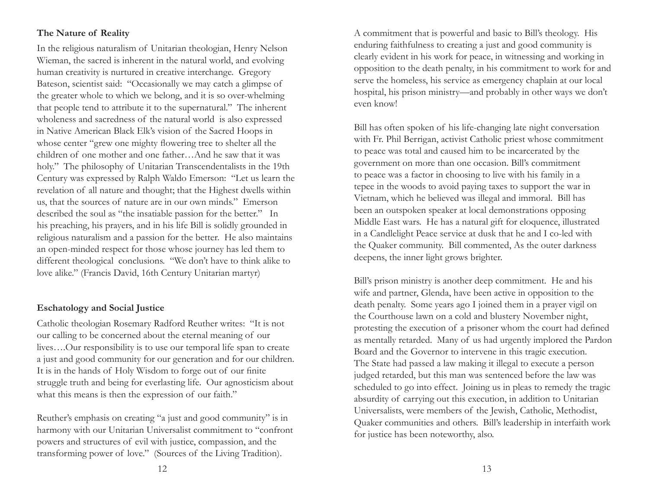## **The Nature of Reality**

In the religious naturalism of Unitarian theologian, Henry Nelson Wieman, the sacred is inherent in the natural world, and evolving human creativity is nurtured in creative interchange. Gregory Bateson, scientist said: "Occasionally we may catch a glimpse of the greater whole to which we belong, and it is so over-whelming that people tend to attribute it to the supernatural." The inherent wholeness and sacredness of the natural world is also expressed in Native American Black Elk's vision of the Sacred Hoops in whose center "grew one mighty flowering tree to shelter all the children of one mother and one father…And he saw that it was holy." The philosophy of Unitarian Transcendentalists in the 19th Century was expressed by Ralph Waldo Emerson: "Let us learn the revelation of all nature and thought; that the Highest dwells within us, that the sources of nature are in our own minds." Emerson described the soul as "the insatiable passion for the better." In his preaching, his prayers, and in his life Bill is solidly grounded in religious naturalism and a passion for the better. He also maintains an open-minded respect for those whose journey has led them to different theological conclusions. "We don't have to think alike to love alike." (Francis David, 16th Century Unitarian martyr)

## **Eschatology and Social Justice**

Catholic theologian Rosemary Radford Reuther writes: "It is not our calling to be concerned about the eternal meaning of our lives….Our responsibility is to use our temporal life span to create a just and good community for our generation and for our children. It is in the hands of Holy Wisdom to forge out of our finite struggle truth and being for everlasting life. Our agnosticism about what this means is then the expression of our faith."

Reuther's emphasis on creating "a just and good community" is in harmony with our Unitarian Universalist commitment to "confront powers and structures of evil with justice, compassion, and the transforming power of love." (Sources of the Living Tradition).

A commitment that is powerful and basic to Bill's theology. His enduring faithfulness to creating a just and good community is clearly evident in his work for peace, in witnessing and working in opposition to the death penalty, in his commitment to work for and serve the homeless, his service as emergency chaplain at our local hospital, his prison ministry—and probably in other ways we don't even know!

Bill has often spoken of his life-changing late night conversation with Fr. Phil Berrigan, activist Catholic priest whose commitment to peace was total and caused him to be incarcerated by the government on more than one occasion. Bill's commitment to peace was a factor in choosing to live with his family in a tepee in the woods to avoid paying taxes to support the war in Vietnam, which he believed was illegal and immoral. Bill has been an outspoken speaker at local demonstrations opposing Middle East wars. He has a natural gift for eloquence, illustrated in a Candlelight Peace service at dusk that he and I co-led with the Quaker community. Bill commented, As the outer darkness deepens, the inner light grows brighter.

Bill's prison ministry is another deep commitment. He and his wife and partner, Glenda, have been active in opposition to the death penalty. Some years ago I joined them in a prayer vigil on the Courthouse lawn on a cold and blustery November night, protesting the execution of a prisoner whom the court had defined as mentally retarded. Many of us had urgently implored the Pardon Board and the Governor to intervene in this tragic execution. The State had passed a law making it illegal to execute a person judged retarded, but this man was sentenced before the law was scheduled to go into effect. Joining us in pleas to remedy the tragic absurdity of carrying out this execution, in addition to Unitarian Universalists, were members of the Jewish, Catholic, Methodist, Quaker communities and others. Bill's leadership in interfaith work for justice has been noteworthy, also.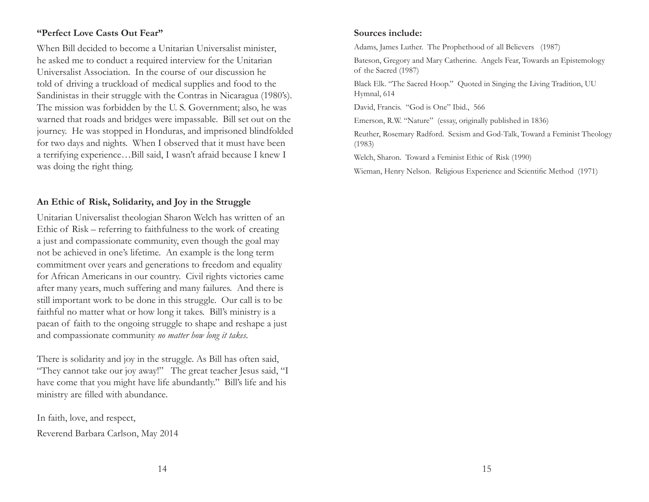## **"Perfect Love Casts Out Fear"**

When Bill decided to become a Unitarian Universalist minister, he asked me to conduct a required interview for the Unitarian Universalist Association. In the course of our discussion he told of driving a truckload of medical supplies and food to the Sandinistas in their struggle with the Contras in Nicaragua (1980's). The mission was forbidden by the U. S. Government; also, he was warned that roads and bridges were impassable. Bill set out on the journey. He was stopped in Honduras, and imprisoned blindfolded for two days and nights. When I observed that it must have been a terrifying experience…Bill said, I wasn't afraid because I knew I was doing the right thing.

### **An Ethic of Risk, Solidarity, and Joy in the Struggle**

Unitarian Universalist theologian Sharon Welch has written of an Ethic of Risk – referring to faithfulness to the work of creating a just and compassionate community, even though the goal may not be achieved in one's lifetime. An example is the long term commitment over years and generations to freedom and equality for African Americans in our country. Civil rights victories came after many years, much suffering and many failures. And there is still important work to be done in this struggle. Our call is to be faithful no matter what or how long it takes. Bill's ministry is a paean of faith to the ongoing struggle to shape and reshape a just and compassionate community *no matter how long it takes*.

There is solidarity and joy in the struggle. As Bill has often said, "They cannot take our joy away!" The great teacher Jesus said, "I have come that you might have life abundantly." Bill's life and his ministry are filled with abundance.

In faith, love, and respect, Reverend Barbara Carlson, May 2014

### **Sources include:**

Adams, James Luther. The Prophethood of all Believers (1987)

Bateson, Gregory and Mary Catherine. Angels Fear, Towards an Epistemology of the Sacred (1987)

Black Elk. "The Sacred Hoop." Quoted in Singing the Living Tradition, UU Hymnal, 614

David, Francis. "God is One" Ibid., 566

Emerson, R.W. "Nature" (essay, originally published in 1836)

Reuther, Rosemary Radford. Sexism and God-Talk, Toward a Feminist Theology (1983)

Welch, Sharon. Toward a Feminist Ethic of Risk (1990)

Wieman, Henry Nelson. Religious Experience and Scientific Method (1971)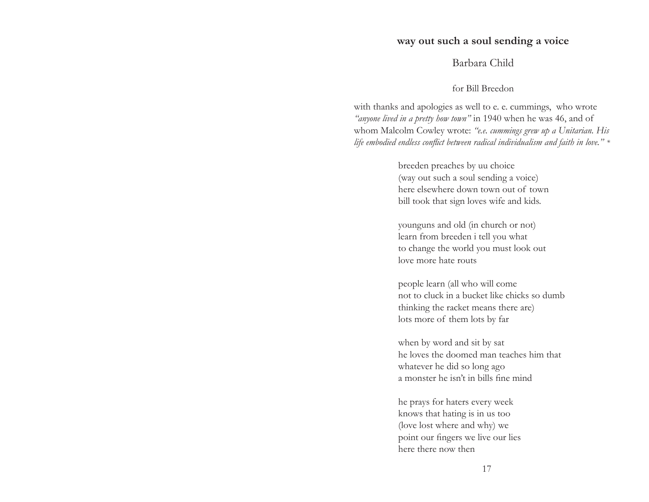## **way out such a soul sending a voice**

## Barbara Child

### for Bill Breedon

with thanks and apologies as well to e. e. cummings, who wrote *"anyone lived in a pretty how town"* in 1940 when he was 46, and of whom Malcolm Cowley wrote: *"e.e. cummings grew up a Unitarian. His*  life embodied endless conflict between radical individualism and faith in love." \*

> breeden preaches by uu choice (way out such a soul sending a voice) here elsewhere down town out of town bill took that sign loves wife and kids.

> younguns and old (in church or not) learn from breeden i tell you what to change the world you must look out love more hate routs

people learn (all who will come not to cluck in a bucket like chicks so dumbthinking the racket means there are) lots more of them lots by far

when by word and sit by sat he loves the doomed man teaches him that whatever he did so long ago a monster he isn't in bills fine mind

he prays for haters every week knows that hating is in us too (love lost where and why) we point our fingers we live our lies here there now then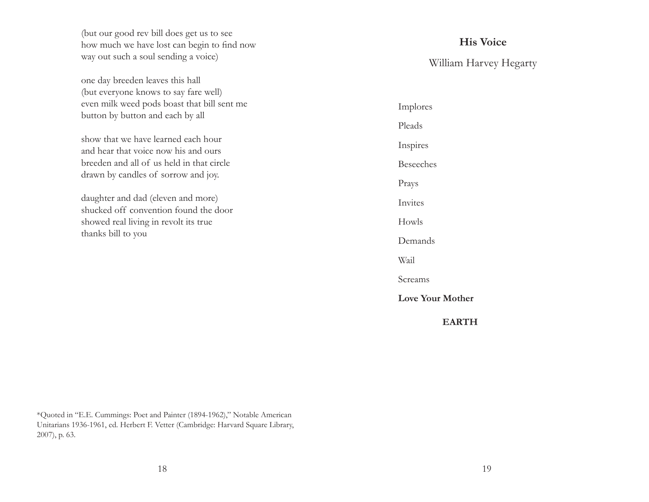(but our good rev bill does get us to see<br>how much we have lost can begin to find now way out such a soul sending a voice)

one day breeden leaves this hall (but everyone knows to say fare well) even milk weed pods boast that bill sent me button by button and each by all

show that we have learned each hourand hear that voice now his and oursbreeden and all of us held in that circle drawn by candles of sorrow and joy.

daughter and dad (eleven and more) shucked off convention found the doorshowed real living in revolt its true thanks bill to you

## **His Voice**

William Harvey Hegarty

Implores PleadsInspires BeseechesPrays InvitesHowlsDemandsWail Screams**Love Your Mother EARTH**

\*Quoted in "E.E. Cummings: Poet and Painter (1894-1962)," Notable American Unitarians 1936-1961, ed. Herbert F. Vetter (Cambridge: Harvard Square Library, 2007), p. 63.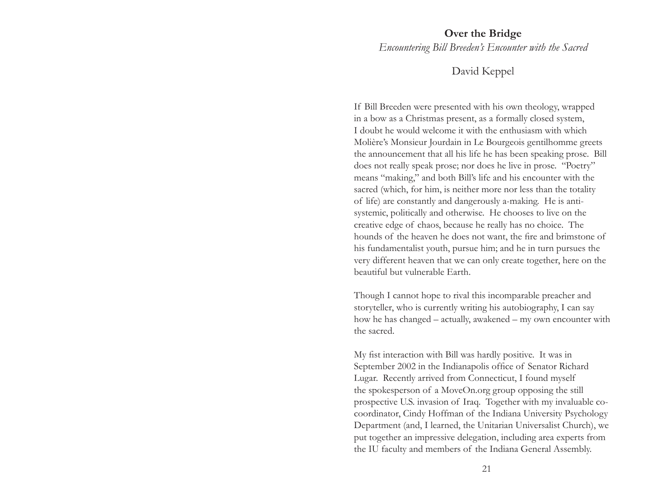### **Over the Bridge**

*Encountering Bill Breeden's Encounter with the Sacred*

## David Keppel

If Bill Breeden were presented with his own theology, wrapped in a bow as a Christmas present, as a formally closed system, I doubt he would welcome it with the enthusiasm with which Molière's Monsieur Jourdain in Le Bourgeois gentilhomme greets the announcement that all his life he has been speaking prose. Bill does not really speak prose; nor does he live in prose. "Poetry" means "making," and both Bill's life and his encounter with the sacred (which, for him, is neither more nor less than the totality of life) are constantly and dangerously a-making. He is antisystemic, politically and otherwise. He chooses to live on the creative edge of chaos, because he really has no choice. The hounds of the heaven he does not want, the fire and brimstone of his fundamentalist youth, pursue him; and he in turn pursues the very different heaven that we can only create together, here on the beautiful but vulnerable Earth.

Though I cannot hope to rival this incomparable preacher and storyteller, who is currently writing his autobiography, I can say how he has changed – actually, awakened – my own encounter with the sacred.

My fist interaction with Bill was hardly positive. It was in September 2002 in the Indianapolis office of Senator Richard Lugar. Recently arrived from Connecticut, I found myself the spokesperson of a MoveOn.org group opposing the still prospective U.S. invasion of Iraq. Together with my invaluable cocoordinator, Cindy Hoffman of the Indiana University Psychology Department (and, I learned, the Unitarian Universalist Church), we put together an impressive delegation, including area experts from the IU faculty and members of the Indiana General Assembly.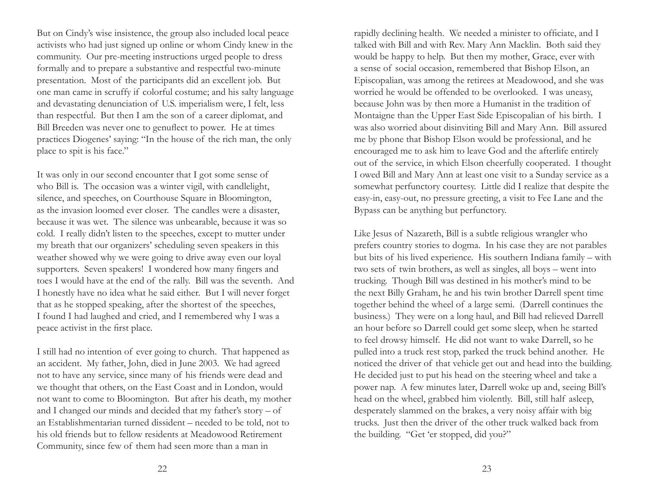But on Cindy's wise insistence, the group also included local peace activists who had just signed up online or whom Cindy knew in the community. Our pre-meeting instructions urged people to dress formally and to prepare a substantive and respectful two-minute presentation. Most of the participants did an excellent job. But one man came in scruffy if colorful costume; and his salty language and devastating denunciation of U.S. imperialism were, I felt, less than respectful. But then I am the son of a career diplomat, and Bill Breeden was never one to genuflect to power. He at times practices Diogenes' saying: "In the house of the rich man, the only place to spit is his face."

It was only in our second encounter that I got some sense of who Bill is. The occasion was a winter vigil, with candlelight, silence, and speeches, on Courthouse Square in Bloomington, as the invasion loomed ever closer. The candles were a disaster, because it was wet. The silence was unbearable, because it was so cold. I really didn't listen to the speeches, except to mutter under my breath that our organizers' scheduling seven speakers in this weather showed why we were going to drive away even our loyal supporters. Seven speakers! I wondered how many fingers and toes I would have at the end of the rally. Bill was the seventh. And I honestly have no idea what he said either. But I will never forget that as he stopped speaking, after the shortest of the speeches, I found I had laughed and cried, and I remembered why I was a peace activist in the first place.

I still had no intention of ever going to church. That happened as an accident. My father, John, died in June 2003. We had agreed not to have any service, since many of his friends were dead and we thought that others, on the East Coast and in London, would not want to come to Bloomington. But after his death, my mother and I changed our minds and decided that my father's story – of an Establishmentarian turned dissident – needed to be told, not to his old friends but to fellow residents at Meadowood Retirement Community, since few of them had seen more than a man in

rapidly declining health. We needed a minister to officiate, and I talked with Bill and with Rev. Mary Ann Macklin. Both said they would be happy to help. But then my mother, Grace, ever with a sense of social occasion, remembered that Bishop Elson, an Episcopalian, was among the retirees at Meadowood, and she was worried he would be offended to be overlooked. I was uneasy, because John was by then more a Humanist in the tradition of Montaigne than the Upper East Side Episcopalian of his birth. I was also worried about disinviting Bill and Mary Ann. Bill assured me by phone that Bishop Elson would be professional, and he encouraged me to ask him to leave God and the afterlife entirely out of the service, in which Elson cheerfully cooperated. I thought I owed Bill and Mary Ann at least one visit to a Sunday service as a somewhat perfunctory courtesy. Little did I realize that despite the easy-in, easy-out, no pressure greeting, a visit to Fee Lane and the Bypass can be anything but perfunctory.

Like Jesus of Nazareth, Bill is a subtle religious wrangler who prefers country stories to dogma. In his case they are not parables but bits of his lived experience. His southern Indiana family – with two sets of twin brothers, as well as singles, all boys – went into trucking. Though Bill was destined in his mother's mind to be the next Billy Graham, he and his twin brother Darrell spent time together behind the wheel of a large semi. (Darrell continues the business.) They were on a long haul, and Bill had relieved Darrell an hour before so Darrell could get some sleep, when he started to feel drowsy himself. He did not want to wake Darrell, so he pulled into a truck rest stop, parked the truck behind another. He noticed the driver of that vehicle get out and head into the building. He decided just to put his head on the steering wheel and take a power nap. A few minutes later, Darrell woke up and, seeing Bill's head on the wheel, grabbed him violently. Bill, still half asleep, desperately slammed on the brakes, a very noisy affair with big trucks. Just then the driver of the other truck walked back from the building. "Get 'er stopped, did you?"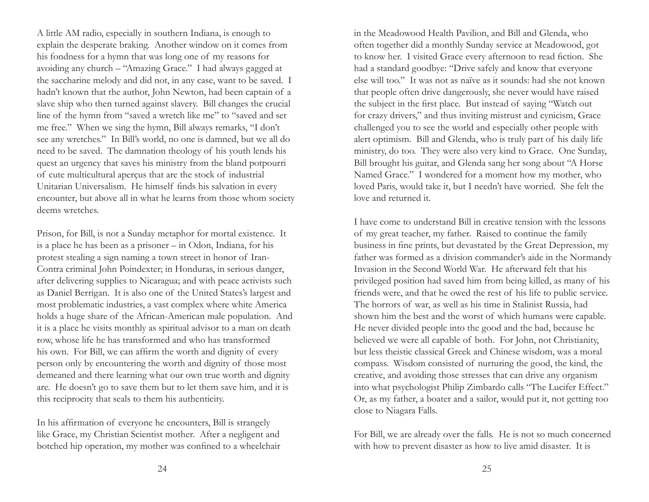A little AM radio, especially in southern Indiana, is enough to explain the desperate braking. Another window on it comes from his fondness for a hymn that was long one of my reasons for avoiding any church – "Amazing Grace." I had always gagged at the saccharine melody and did not, in any case, want to be saved. I hadn't known that the author, John Newton, had been captain of <sup>a</sup> slave ship who then turned against slavery. Bill changes the crucial line of the hymn from "saved a wretch like me" to "saved and set me free." When we sing the hymn, Bill always remarks, "I don't see any wretches." In Bill's world, no one is damned, but we all do need to be saved. The damnation theology of his youth lends his quest an urgency that saves his ministry from the bland potpourri of cute multicultural aperçus that are the stock of industrial Unitarian Universalism. He himself finds his salvation in every encounter, but above all in what he learns from those whom society deems wretches.

Prison, for Bill, is not a Sunday metaphor for mortal existence. It is a place he has been as a prisoner – in Odon, Indiana, for his protest stealing a sign naming a town street in honor of Iran-Contra criminal John Poindexter; in Honduras, in serious danger, after delivering supplies to Nicaragua; and with peace activists such as Daniel Berrigan. It is also one of the United States's largest and most problematic industries, a vast complex where white America holds a huge share of the African-American male population. And it is a place he visits monthly as spiritual advisor to a man on death row, whose life he has transformed and who has transformed his own. For Bill, we can affirm the worth and dignity of every person only by encountering the worth and dignity of those most demeaned and there learning what our own true worth and dignity are. He doesn't go to save them but to let them save him, and it is this reciprocity that seals to them his authenticity.

In his affirmation of everyone he encounters, Bill is strangely like Grace, my Christian Scientist mother. After a negligent and botched hip operation, my mother was confined to a wheelchair in the Meadowood Health Pavilion, and Bill and Glenda, who often together did a monthly Sunday service at Meadowood, got to know her. I visited Grace every afternoon to read fiction. She had a standard goodbye: "Drive safely and know that everyone else will too." It was not as naïve as it sounds: had she not known that people often drive dangerously, she never would have raised the subject in the first place. But instead of saying "Watch out for crazy drivers," and thus inviting mistrust and cynicism, Grace challenged you to see the world and especially other people with alert optimism. Bill and Glenda, who is truly part of his daily life ministry, do too. They were also very kind to Grace. One Sunday, Bill brought his guitar, and Glenda sang her song about "A Horse Named Grace." I wondered for a moment how my mother, who loved Paris, would take it, but I needn't have worried. She felt the love and returned it.

I have come to understand Bill in creative tension with the lessons of my great teacher, my father. Raised to continue the family business in fine prints, but devastated by the Great Depression, my father was formed as a division commander's aide in the Normandy Invasion in the Second World War. He afterward felt that his privileged position had saved him from being killed, as many of his friends were, and that he owed the rest of his life to public service. The horrors of war, as well as his time in Stalinist Russia, had shown him the best and the worst of which humans were capable. He never divided people into the good and the bad, because he believed we were all capable of both. For John, not Christianity, but less theistic classical Greek and Chinese wisdom, was a moral compass. Wisdom consisted of nurturing the good, the kind, the creative, and avoiding those stresses that can drive any organism into what psychologist Philip Zimbardo calls "The Lucifer Effect." Or, as my father, a boater and a sailor, would put it, not getting too close to Niagara Falls.

For Bill, we are already over the falls. He is not so much concerned with how to prevent disaster as how to live amid disaster. It is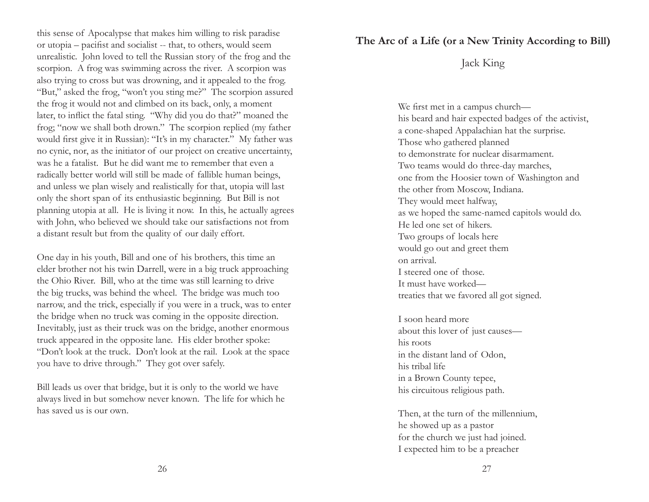this sense of Apocalypse that makes him willing to risk paradise<br> **The Arc of a Life (or a New Trinity According to Bill)**<br>
or utopia – pacifist and socialistent to others would seem or utopia – pacifist and socialist -- that, to others, would seem unrealistic. John loved to tell the Russian story of the frog and the scorpion. A frog was swimming across the river. A scorpion was also trying to cross but was drowning, and it appealed to the frog. "But," asked the frog, "won't you sting me?" The scorpion assured the frog it would not and climbed on its back, only, a moment later, to inflict the fatal sting. "Why did you do that?" moaned the frog; "now we shall both drown." The scorpion replied (my father would first give it in Russian): "It's in my character." My father was no cynic, nor, as the initiator of our project on creative uncertainty, was he a fatalist. But he did want me to remember that even a radically better world will still be made of fallible human beings, and unless we plan wisely and realistically for that, utopia will last only the short span of its enthusiastic beginning. But Bill is not planning utopia at all. He is living it now. In this, he actually agrees with John, who believed we should take our satisfactions not from a distant result but from the quality of our daily effort.

One day in his youth, Bill and one of his brothers, this time an elder brother not his twin Darrell, were in a big truck approaching the Ohio River. Bill, who at the time was still learning to drive the big trucks, was behind the wheel. The bridge was much too narrow, and the trick, especially if you were in a truck, was to enter the bridge when no truck was coming in the opposite direction. Inevitably, just as their truck was on the bridge, another enormous truck appeared in the opposite lane. His elder brother spoke: "Don't look at the truck. Don't look at the rail. Look at the space you have to drive through." They got over safely.

Bill leads us over that bridge, but it is only to the world we have always lived in but somehow never known. The life for which he has saved us is our own.

## Jack King

We first met in a campus church his beard and hair expected badges of the activist, a cone-shaped Appalachian hat the surprise. Those who gathered planned to demonstrate for nuclear disarmament. Two teams would do three-day marches, one from the Hoosier town of Washington and the other from Moscow, Indiana. They would meet halfway, as we hoped the same-named capitols would do. He led one set of hikers.Two groups of locals here would go out and greet them on arrival. I steered one of those.It must have workedtreaties that we favored all got signed.

I soon heard moreabout this lover of just causes his roots in the distant land of Odon, his tribal lifein a Brown County tepee, his circuitous religious path.

Then, at the turn of the millennium, he showed up as a pastor for the church we just had joined. I expected him to be a preacher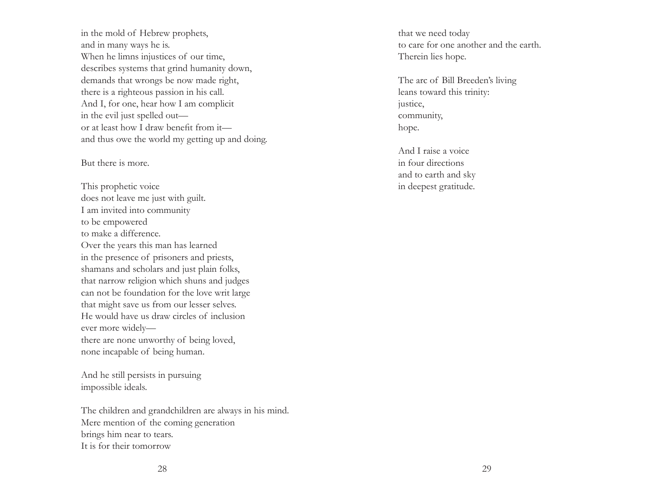in the mold of Hebrew prophets, and in many ways he is. When he limns injustices of our time, describes systems that grind humanity down, demands that wrongs be now made right, there is a righteous passion in his call. And I, for one, hear how I am complicit in the evil just spelled out or at least how I draw benefit from it and thus owe the world my getting up and doing.

### But there is more.

This prophetic voice does not leave me just with guilt. I am invited into community to be empowered to make a difference. Over the years this man has learned in the presence of prisoners and priests, shamans and scholars and just plain folks, that narrow religion which shuns and judges can not be foundation for the love writ large that might save us from our lesser selves. He would have us draw circles of inclusionever more widely there are none unworthy of being loved, none incapable of being human.

And he still persists in pursuing impossible ideals.

The children and grandchildren are always in his mind. Mere mention of the coming generation brings him near to tears. It is for their tomorrow

that we need today to care for one another and the earth.Therein lies hope.

The arc of Bill Breeden's living leans toward this trinity: justice, community, hope.

And I raise a voicein four directionsand to earth and sky in deepest gratitude.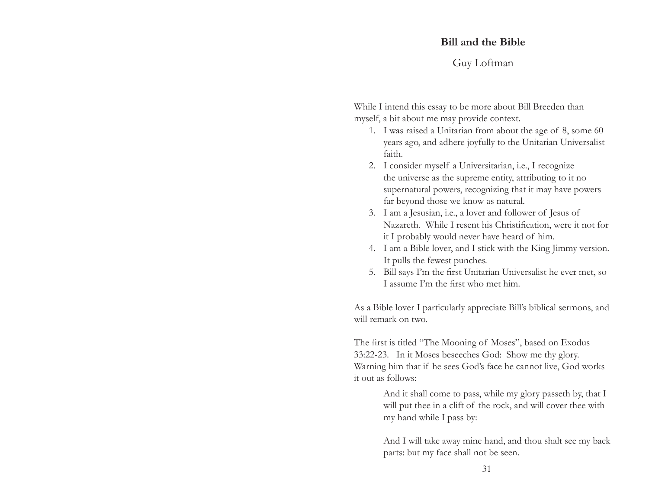### **Bill and the Bible**

## Guy Loftman

While I intend this essay to be more about Bill Breeden than myself, a bit about me may provide context.

- 1. I was raised a Unitarian from about the age of 8, some 60 years ago, and adhere joyfully to the Unitarian Universalist faith.
- 2. I consider myself a Universitarian, i.e., I recognize the universe as the supreme entity, attributing to it no supernatural powers, recognizing that it may have powers far beyond those we know as natural.
- 3. I am a Jesusian, i.e., a lover and follower of Jesus of Nazareth. While I resent his Christification, were it not for it I probably would never have heard of him.
- 4. I am a Bible lover, and I stick with the King Jimmy version. It pulls the fewest punches.
- 5. Bill says I'm the first Unitarian Universalist he ever met, so I assume I'm the first who met him.

As a Bible lover I particularly appreciate Bill's biblical sermons, and will remark on two.

The first is titled "The Mooning of Moses", based on Exodus 33:22-23. In it Moses beseeches God: Show me thy glory. Warning him that if he sees God's face he cannot live, God works it out as follows:

> And it shall come to pass, while my glory passeth by, that I will put thee in a clift of the rock, and will cover thee with my hand while I pass by:

And I will take away mine hand, and thou shalt see my back parts: but my face shall not be seen.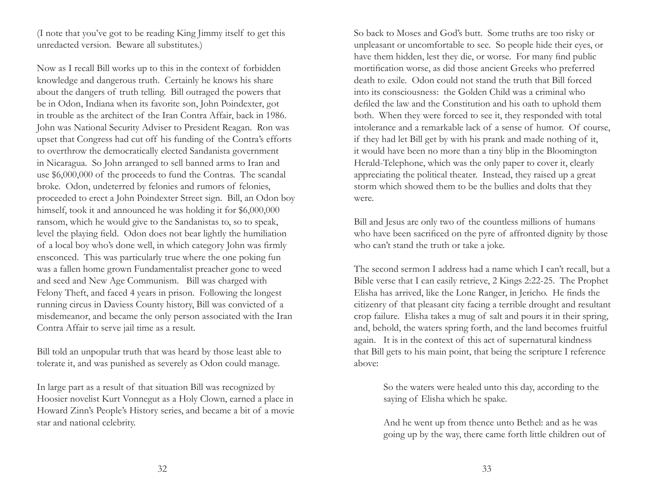(I note that you've got to be reading King Jimmy itself to get this unredacted version. Beware all substitutes.)

Now as I recall Bill works up to this in the context of forbidden knowledge and dangerous truth. Certainly he knows his share about the dangers of truth telling. Bill outraged the powers that be in Odon, Indiana when its favorite son, John Poindexter, got in trouble as the architect of the Iran Contra Affair, back in 1986. John was National Security Adviser to President Reagan. Ron was upset that Congress had cut off his funding of the Contra's efforts to overthrow the democratically elected Sandanista government in Nicaragua. So John arranged to sell banned arms to Iran and use \$6,000,000 of the proceeds to fund the Contras. The scandal broke. Odon, undeterred by felonies and rumors of felonies, proceeded to erect a John Poindexter Street sign. Bill, an Odon boy himself, took it and announced he was holding it for \$6,000,000 ransom, which he would give to the Sandanistas to, so to speak, level the playing field. Odon does not bear lightly the humiliation of a local boy who's done well, in which category John was firmly ensconced. This was particularly true where the one poking fun was a fallen home grown Fundamentalist preacher gone to weed and seed and New Age Communism. Bill was charged with Felony Theft, and faced 4 years in prison. Following the longest running circus in Daviess County history, Bill was convicted of <sup>a</sup> misdemeanor, and became the only person associated with the Iran Contra Affair to serve jail time as a result.

Bill told an unpopular truth that was heard by those least able to tolerate it, and was punished as severely as Odon could manage.

In large part as a result of that situation Bill was recognized by Hoosier novelist Kurt Vonnegut as a Holy Clown, earned a place in Howard Zinn's People's History series, and became a bit of a movie star and national celebrity.

So back to Moses and God's butt. Some truths are too risky or unpleasant or uncomfortable to see. So people hide their eyes, or have them hidden, lest they die, or worse. For many find public mortification worse, as did those ancient Greeks who preferred death to exile. Odon could not stand the truth that Bill forced into its consciousness: the Golden Child was a criminal who defiled the law and the Constitution and his oath to uphold them both. When they were forced to see it, they responded with total intolerance and a remarkable lack of a sense of humor. Of course, if they had let Bill get by with his prank and made nothing of it, it would have been no more than a tiny blip in the Bloomington Herald-Telephone, which was the only paper to cover it, clearly appreciating the political theater. Instead, they raised up a great storm which showed them to be the bullies and dolts that they were.

Bill and Jesus are only two of the countless millions of humans who have been sacrificed on the pyre of affronted dignity by those who can't stand the truth or take a joke.

The second sermon I address had a name which I can't recall, but a Bible verse that I can easily retrieve, 2 Kings 2:22-25. The Prophet Elisha has arrived, like the Lone Ranger, in Jericho. He finds the citizenry of that pleasant city facing a terrible drought and resultant crop failure. Elisha takes a mug of salt and pours it in their spring, and, behold, the waters spring forth, and the land becomes fruitful again. It is in the context of this act of supernatural kindness that Bill gets to his main point, that being the scripture I reference above:

> So the waters were healed unto this day, according to the saying of Elisha which he spake.

And he went up from thence unto Bethel: and as he was going up by the way, there came forth little children out of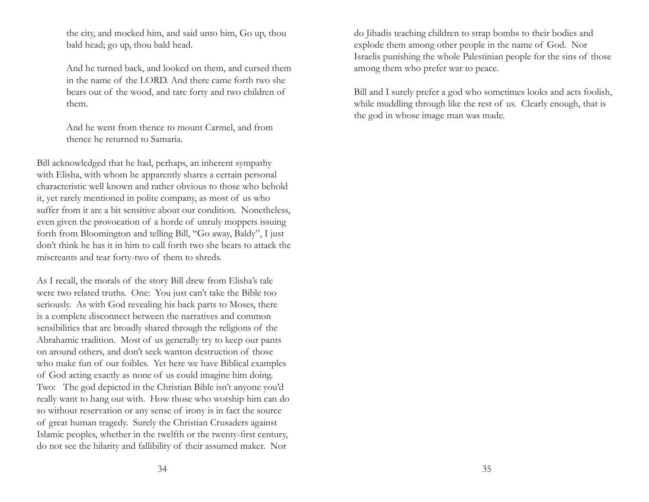the city, and mocked him, and said unto him, Go up, thou bald head; go up, thou bald head.

And he turned back, and looked on them, and cursed them in the name of the LORD. And there came forth two she bears out of the wood, and tare forty and two children of them.

And he went from thence to mount Carmel, and from thence he returned to Samaria.

Bill acknowledged that he had, perhaps, an inherent sympathy with Elisha, with whom he apparently shares a certain personal characteristic well known and rather obvious to those who behold it, yet rarely mentioned in polite company, as most of us who suffer from it are a bit sensitive about our condition. Nonetheless, even given the provocation of a horde of unruly moppets issuing forth from Bloomington and telling Bill, "Go away, Baldy", I just don't think he has it in him to call forth two she bears to attack the miscreants and tear forty-two of them to shreds.

As I recall, the morals of the story Bill drew from Elisha's tale were two related truths. One: You just can't take the Bible too seriously. As with God revealing his back parts to Moses, there is a complete disconnect between the narratives and common sensibilities that are broadly shared through the religions of the Abrahamic tradition. Most of us generally try to keep our pants on around others, and don't seek wanton destruction of those who make fun of our foibles. Yet here we have Biblical examples of God acting exactly as none of us could imagine him doing. Two: The god depicted in the Christian Bible isn't anyone you'd really want to hang out with. How those who worship him can do so without reservation or any sense of irony is in fact the source of great human tragedy. Surely the Christian Crusaders against Islamic peoples, whether in the twelfth or the twenty-first century, do not see the hilarity and fallibility of their assumed maker. Nor

do Jihadis teaching children to strap bombs to their bodies and explode them among other people in the name of God. Nor Israelis punishing the whole Palestinian people for the sins of those among them who prefer war to peace.

Bill and I surely prefer a god who sometimes looks and acts foolish, while muddling through like the rest of us. Clearly enough, that is the god in whose image man was made.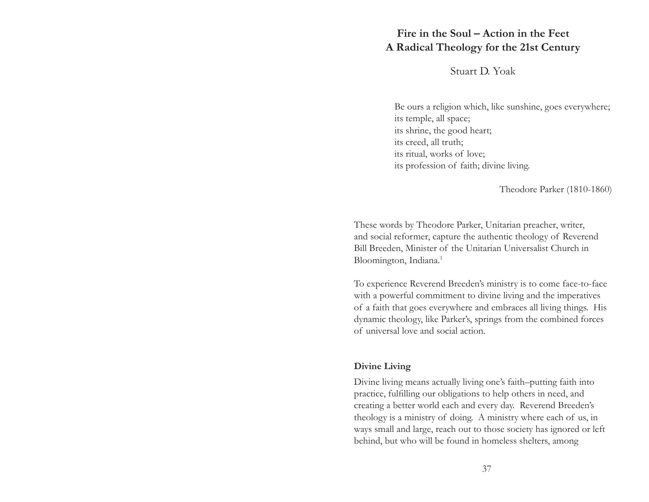## **Fire in the Soul – Action in the FeetA Radical Theology for the 21st Century**

Stuart D. Yoak

Be ours a religion which, like sunshine, goes everywhere; its temple, all space; its shrine, the good heart; its creed, all truth; its ritual, works of love; its profession of faith; divine living.

Theodore Parker (1810-1860)

These words by Theodore Parker, Unitarian preacher, writer, and social reformer, capture the authentic theology of Reverend Bill Breeden, Minister of the Unitarian Universalist Church in Bloomington, Indiana.<sup>1</sup>

To experience Reverend Breeden's ministry is to come face-to-face with a powerful commitment to divine living and the imperatives of a faith that goes everywhere and embraces all living things. His dynamic theology, like Parker's, springs from the combined forces of universal love and social action.

### **Divine Living**

Divine living means actually living one's faith–putting faith into practice, fulfilling our obligations to help others in need, and creating a better world each and every day. Reverend Breeden's theology is a ministry of doing. A ministry where each of us, in ways small and large, reach out to those society has ignored or left behind, but who will be found in homeless shelters, among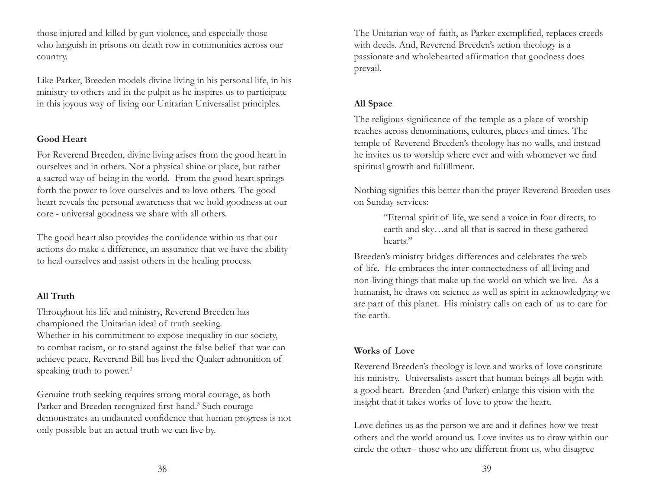those injured and killed by gun violence, and especially those who languish in prisons on death row in communities across our country.

Like Parker, Breeden models divine living in his personal life, in his ministry to others and in the pulpit as he inspires us to participate in this joyous way of living our Unitarian Universalist principles.

## **Good Heart**

For Reverend Breeden, divine living arises from the good heart in ourselves and in others. Not a physical shine or place, but rather a sacred way of being in the world. From the good heart springs forth the power to love ourselves and to love others. The good heart reveals the personal awareness that we hold goodness at our core - universal goodness we share with all others.

The good heart also provides the confidence within us that our actions do make a difference, an assurance that we have the ability to heal ourselves and assist others in the healing process.

## **All Truth**

Throughout his life and ministry, Reverend Breeden has championed the Unitarian ideal of truth seeking. Whether in his commitment to expose inequality in our society, to combat racism, or to stand against the false belief that war can achieve peace, Reverend Bill has lived the Quaker admonition of speaking truth to power.<sup>2</sup>

Genuine truth seeking requires strong moral courage, as both Parker and Breeden recognized first-hand.<sup>3</sup> Such courage demonstrates an undaunted confidence that human progress is not only possible but an actual truth we can live by.

The Unitarian way of faith, as Parker exemplified, replaces creeds with deeds. And, Reverend Breeden's action theology is a passionate and wholehearted affirmation that goodness does prevail.

## **All Space**

The religious significance of the temple as a place of worship reaches across denominations, cultures, places and times. The temple of Reverend Breeden's theology has no walls, and instead he invites us to worship where ever and with whomever we find spiritual growth and fulfillment.

Nothing signifies this better than the prayer Reverend Breeden uses on Sunday services:

> "Eternal spirit of life, we send a voice in four directs, to earth and sky…and all that is sacred in these gathered hearts."

Breeden's ministry bridges differences and celebrates the web of life. He embraces the inter-connectedness of all living and non-living things that make up the world on which we live. As a humanist, he draws on science as well as spirit in acknowledging we are part of this planet. His ministry calls on each of us to care for the earth.

## **Works of Love**

Reverend Breeden's theology is love and works of love constitute his ministry. Universalists assert that human beings all begin with a good heart. Breeden (and Parker) enlarge this vision with the insight that it takes works of love to grow the heart.

Love defines us as the person we are and it defines how we treat others and the world around us. Love invites us to draw within our circle the other– those who are different from us, who disagree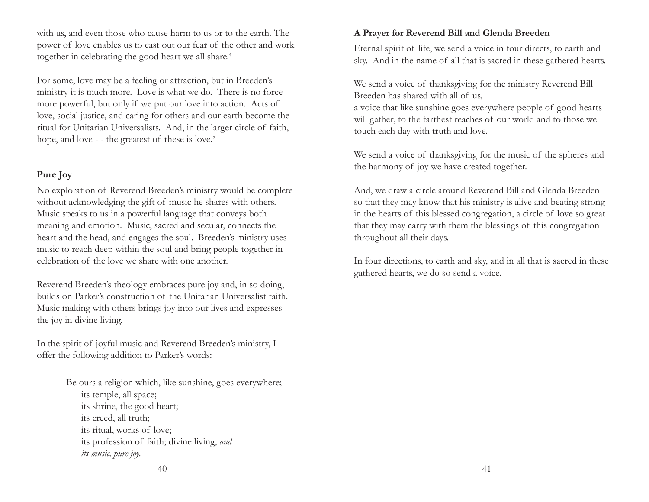with us, and even those who cause harm to us or to the earth. The power of love enables us to cast out our fear of the other and work together in celebrating the good heart we all share.<sup>4</sup>

For some, love may be a feeling or attraction, but in Breeden's ministry it is much more. Love is what we do. There is no force more powerful, but only if we put our love into action. Acts of love, social justice, and caring for others and our earth become the ritual for Unitarian Universalists. And, in the larger circle of faith, hope, and love - - the greatest of these is love.<sup>5</sup>

## **Pure Joy**

No exploration of Reverend Breeden's ministry would be complete without acknowledging the gift of music he shares with others. Music speaks to us in a powerful language that conveys both meaning and emotion. Music, sacred and secular, connects the heart and the head, and engages the soul. Breeden's ministry uses music to reach deep within the soul and bring people together in celebration of the love we share with one another.

Reverend Breeden's theology embraces pure joy and, in so doing, builds on Parker's construction of the Unitarian Universalist faith. Music making with others brings joy into our lives and expresses the joy in divine living.

In the spirit of joyful music and Reverend Breeden's ministry, I offer the following addition to Parker's words:

> Be ours a religion which, like sunshine, goes everywhere; its temple, all space; its shrine, the good heart; its creed, all truth; its ritual, works of love; its profession of faith; divine living, *and its music, pure joy.*

### **A Prayer for Reverend Bill and Glenda Breeden**

Eternal spirit of life, we send a voice in four directs, to earth and sky. And in the name of all that is sacred in these gathered hearts.

We send a voice of thanksgiving for the ministry Reverend Bill Breeden has shared with all of us, a voice that like sunshine goes everywhere people of good hearts will gather, to the farthest reaches of our world and to those we touch each day with truth and love.

We send a voice of thanksgiving for the music of the spheres and the harmony of joy we have created together.

And, we draw a circle around Reverend Bill and Glenda Breeden so that they may know that his ministry is alive and beating strong in the hearts of this blessed congregation, a circle of love so great that they may carry with them the blessings of this congregation throughout all their days.

In four directions, to earth and sky, and in all that is sacred in these gathered hearts, we do so send a voice.